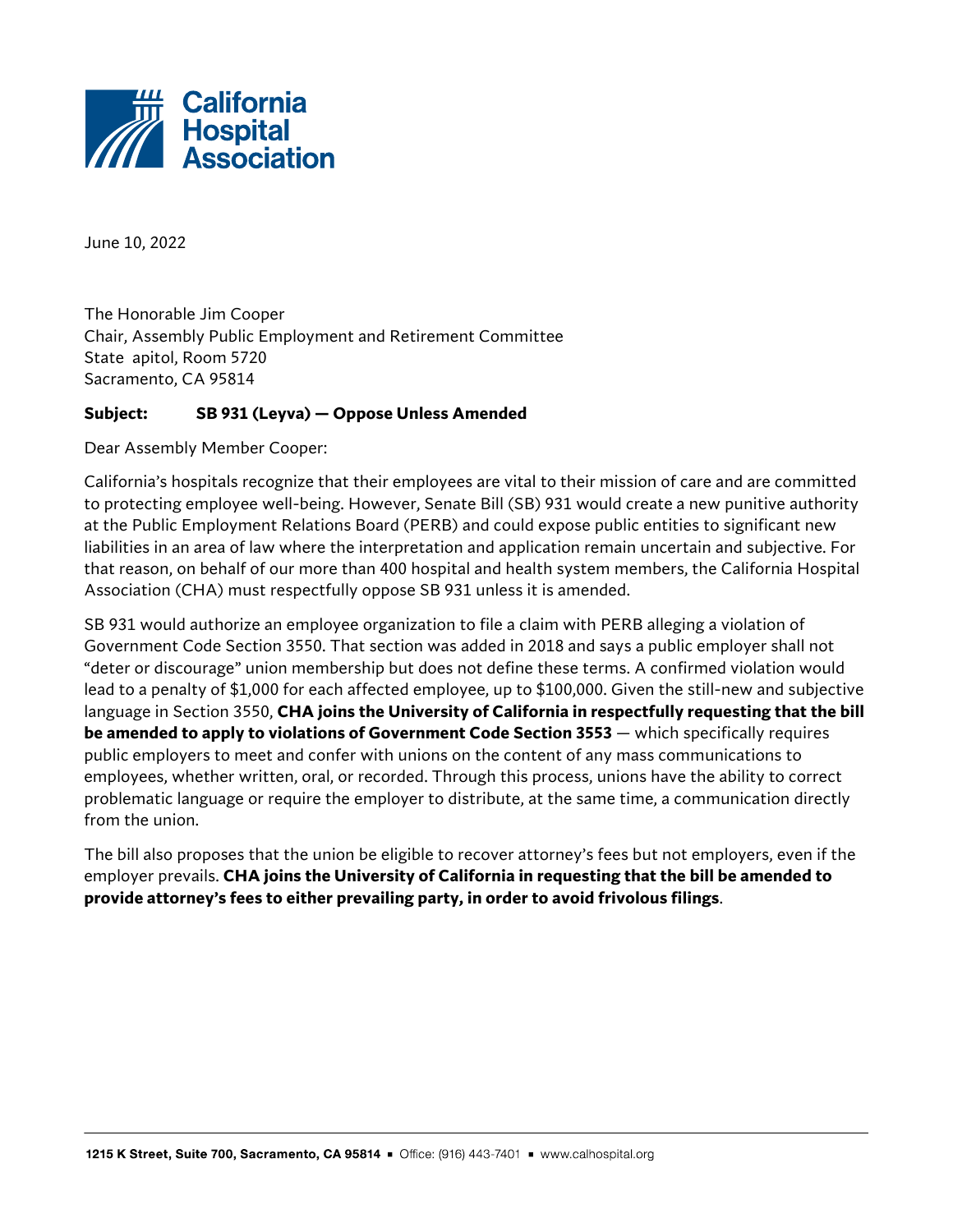

June 10, 2022

The Honorable Jim Cooper Chair, Assembly Public Employment and Retirement Committee State apitol, Room 5720 Sacramento, CA 95814

## **Subject: SB 931 (Leyva) — Oppose Unless Amended**

Dear Assembly Member Cooper:

California's hospitals recognize that their employees are vital to their mission of care and are committed to protecting employee well-being. However, Senate Bill (SB) 931 would create a new punitive authority at the Public Employment Relations Board (PERB) and could expose public entities to significant new liabilities in an area of law where the interpretation and application remain uncertain and subjective. For that reason, on behalf of our more than 400 hospital and health system members, the California Hospital Association (CHA) must respectfully oppose SB 931 unless it is amended.

SB 931 would authorize an employee organization to file a claim with PERB alleging a violation of Government Code Section 3550. That section was added in 2018 and says a public employer shall not "deter or discourage" union membership but does not define these terms. A confirmed violation would lead to a penalty of \$1,000 for each affected employee, up to \$100,000. Given the still-new and subjective language in Section 3550, **CHA joins the University of California in respectfully requesting that the bill be amended to apply to violations of Government Code Section 3553** — which specifically requires public employers to meet and confer with unions on the content of any mass communications to employees, whether written, oral, or recorded. Through this process, unions have the ability to correct problematic language or require the employer to distribute, at the same time, a communication directly from the union.

The bill also proposes that the union be eligible to recover attorney's fees but not employers, even if the employer prevails. **CHA joins the University of California in requesting that the bill be amended to provide attorney's fees to either prevailing party, in order to avoid frivolous filings**.